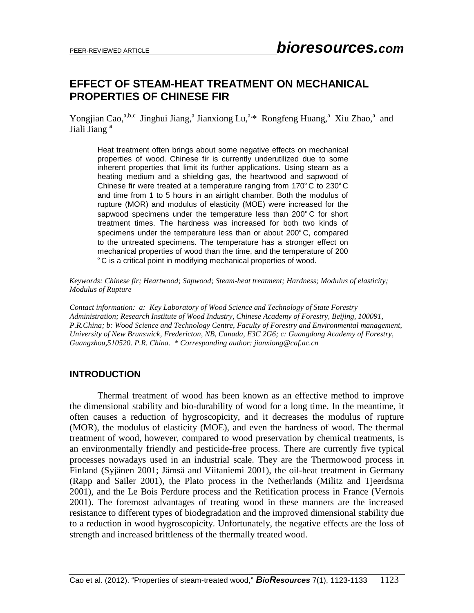## **EFFECT OF STEAM-HEAT TREATMENT ON MECHANICAL PROPERTIES OF CHINESE FIR**

Yongjian Cao,<sup>a,b,c</sup> Jinghui Jiang,<sup>a</sup> Jianxiong Lu,<sup>a,\*</sup> Rongfeng Huang,<sup>a</sup> Xiu Zhao,<sup>a</sup> and Jiali Jiang<sup>a</sup>

Heat treatment often brings about some negative effects on mechanical properties of wood. Chinese fir is currently underutilized due to some inherent properties that limit its further applications. Using steam as a heating medium and a shielding gas, the heartwood and sapwood of Chinese fir were treated at a temperature ranging from 170ºC to 230ºC and time from 1 to 5 hours in an airtight chamber. Both the modulus of rupture (MOR) and modulus of elasticity (MOE) were increased for the sapwood specimens under the temperature less than 200°C for short treatment times. The hardness was increased for both two kinds of specimens under the temperature less than or about 200ºC, compared to the untreated specimens. The temperature has a stronger effect on mechanical properties of wood than the time, and the temperature of 200 ºC is a critical point in modifying mechanical properties of wood.

*Keywords: Chinese fir; Heartwood; Sapwood; Steam-heat treatment; Hardness; Modulus of elasticity; Modulus of Rupture* 

*Contact information: a: Key Laboratory of Wood Science and Technology of State Forestry Administration; Research Institute of Wood Industry, Chinese Academy of Forestry, Beijing, 100091, P.R.China; b: Wood Science and Technology Centre, Faculty of Forestry and Environmental management, University of New Brunswick, Fredericton, NB, Canada, E3C 2G6; c: Guangdong Academy of Forestry, Guangzhou,510520. P.R. China. \* Corresponding author: [jianxiong@caf.ac.cn](mailto:jianxiong@caf.ac.cn)*

## **INTRODUCTION**

Thermal treatment of wood has been known as an effective method to improve the dimensional stability and bio-durability of wood for a long time. In the meantime, it often causes a reduction of hygroscopicity, and it decreases the modulus of rupture (MOR), the modulus of elasticity (MOE), and even the hardness of wood. The thermal treatment of wood, however, compared to wood preservation by chemical treatments, is an environmentally friendly and pesticide-free process. There are currently five typical processes nowadays used in an industrial scale. They are the Thermowood process in Finland (Syjänen 2001; Jämsä and Viitaniemi 2001), the oil-heat treatment in Germany (Rapp and Sailer 2001), the Plato process in the Netherlands (Militz and Tjeerdsma 2001), and the Le Bois Perdure process and the Retification process in France (Vernois 2001). The foremost advantages of treating wood in these manners are the increased resistance to different types of biodegradation and the improved dimensional stability due to a reduction in wood hygroscopicity. Unfortunately, the negative effects are the loss of strength and increased brittleness of the thermally treated wood.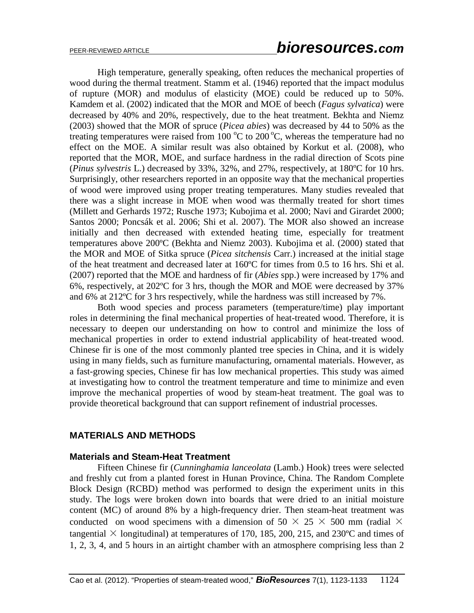High temperature, generally speaking, often reduces the mechanical properties of wood during the thermal treatment. Stamm et al. (1946) reported that the impact modulus of rupture (MOR) and modulus of elasticity (MOE) could be reduced up to 50%. Kamdem et al. (2002) indicated that the MOR and MOE of beech (*Fagus sylvatica*) were decreased by 40% and 20%, respectively, due to the heat treatment. Bekhta and Niemz (2003) showed that the MOR of spruce (*Picea abies*) was decreased by 44 to 50% as the treating temperatures were raised from  $100\,^{\circ}\text{C}$  to  $200\,^{\circ}\text{C}$ , whereas the temperature had no effect on the MOE. A similar result was also obtained by Korkut et al. (2008), who reported that the MOR, MOE, and surface hardness in the radial direction of Scots pine (*Pinus sylvestris* L.) decreased by 33%, 32%, and 27%, respectively, at 180ºC for 10 hrs. Surprisingly, other researchers reported in an opposite way that the mechanical properties of wood were improved using proper treating temperatures. Many studies revealed that there was a slight increase in MOE when wood was thermally treated for short times (Millett and Gerhards 1972; Rusche 1973; Kubojima et al. 2000; Navi and Girardet 2000; Santos 2000; Poncsák et al. 2006; Shi et al. 2007). The MOR also showed an increase initially and then decreased with extended heating time, especially for treatment temperatures above 200ºC (Bekhta and Niemz 2003). Kubojima et al. (2000) stated that the MOR and MOE of Sitka spruce (*Picea sitchensis* Carr.) increased at the initial stage of the heat treatment and decreased later at 160ºC for times from 0.5 to 16 hrs. Shi et al. (2007) reported that the MOE and hardness of fir (*Abies* spp.) were increased by 17% and 6%, respectively, at 202ºC for 3 hrs, though the MOR and MOE were decreased by 37% and 6% at 212ºC for 3 hrs respectively, while the hardness was still increased by 7%.

Both wood species and process parameters (temperature/time) play important roles in determining the final mechanical properties of heat-treated wood. Therefore, it is necessary to deepen our understanding on how to control and minimize the loss of mechanical properties in order to extend industrial applicability of heat-treated wood. Chinese fir is one of the most commonly planted tree species in China, and it is widely using in many fields, such as furniture manufacturing, ornamental materials. However, as a fast-growing species, Chinese fir has low mechanical properties. This study was aimed at investigating how to control the treatment temperature and time to minimize and even improve the mechanical properties of wood by steam-heat treatment. The goal was to provide theoretical background that can support refinement of industrial processes.

## **MATERIALS AND METHODS**

### **Materials and Steam-Heat Treatment**

Fifteen Chinese fir (*Cunninghamia lanceolata* (Lamb.) Hook) trees were selected and freshly cut from a planted forest in Hunan Province, China. The Random Complete Block Design (RCBD) method was performed to design the experiment units in this study. The logs were broken down into boards that were dried to an initial moisture content (MC) of around 8% by a high-frequency drier. Then steam-heat treatment was conducted on wood specimens with a dimension of 50  $\times$  25  $\times$  500 mm (radial  $\times$ tangential  $\times$  longitudinal) at temperatures of 170, 185, 200, 215, and 230 °C and times of 1, 2, 3, 4, and 5 hours in an airtight chamber with an atmosphere comprising less than 2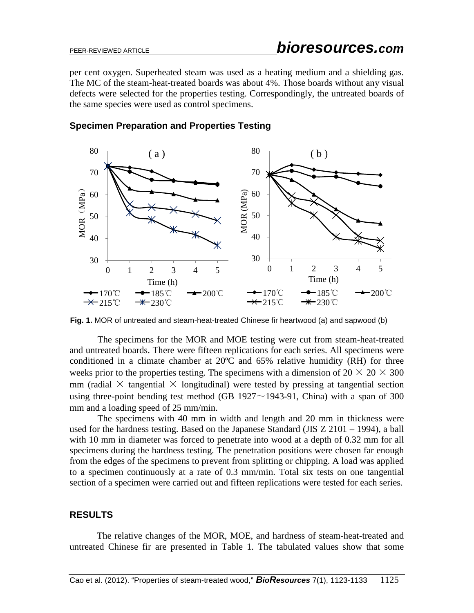per cent oxygen. Superheated steam was used as a heating medium and a shielding gas. The MC of the steam-heat-treated boards was about 4%. Those boards without any visual defects were selected for the properties testing. Correspondingly, the untreated boards of the same species were used as control specimens.



## **Specimen Preparation and Properties Testing**

**Fig. 1.** MOR of untreated and steam-heat-treated Chinese fir heartwood (a) and sapwood (b)

The specimens for the MOR and MOE testing were cut from steam-heat-treated and untreated boards. There were fifteen replications for each series. All specimens were conditioned in a climate chamber at 20ºC and 65% relative humidity (RH) for three weeks prior to the properties testing. The specimens with a dimension of  $20 \times 20 \times 300$ mm (radial  $\times$  tangential  $\times$  longitudinal) were tested by pressing at tangential section using three-point bending test method (GB 1927 $\sim$ 1943-91, China) with a span of 300 mm and a loading speed of 25 mm/min.

The specimens with 40 mm in width and length and 20 mm in thickness were used for the hardness testing. Based on the Japanese Standard (JIS Z 2101 – 1994), a ball with 10 mm in diameter was forced to penetrate into wood at a depth of 0.32 mm for all specimens during the hardness testing. The penetration positions were chosen far enough from the edges of the specimens to prevent from splitting or chipping. A load was applied to a specimen continuously at a rate of 0.3 mm/min. Total six tests on one tangential section of a specimen were carried out and fifteen replications were tested for each series.

## **RESULTS**

The relative changes of the MOR, MOE, and hardness of steam-heat-treated and untreated Chinese fir are presented in Table 1. The tabulated values show that some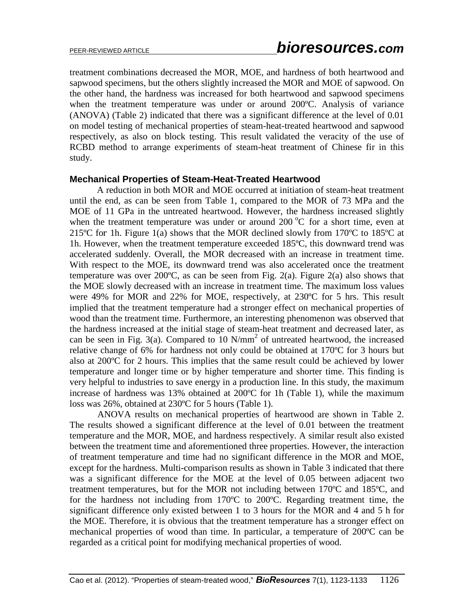treatment combinations decreased the MOR, MOE, and hardness of both heartwood and sapwood specimens, but the others slightly increased the MOR and MOE of sapwood. On the other hand, the hardness was increased for both heartwood and sapwood specimens when the treatment temperature was under or around 200ºC. Analysis of variance (ANOVA) (Table 2) indicated that there was a significant difference at the level of 0.01 on model testing of mechanical properties of steam-heat-treated heartwood and sapwood respectively, as also on block testing. This result validated the veracity of the use of RCBD method to arrange experiments of steam-heat treatment of Chinese fir in this study.

### **Mechanical Properties of Steam-Heat-Treated Heartwood**

A reduction in both MOR and MOE occurred at initiation of steam-heat treatment until the end, as can be seen from Table 1, compared to the MOR of 73 MPa and the MOE of 11 GPa in the untreated heartwood. However, the hardness increased slightly when the treatment temperature was under or around  $200\,^{\circ}\text{C}$  for a short time, even at 215 $^{\circ}$ C for 1h. Figure 1(a) shows that the MOR declined slowly from 170 $^{\circ}$ C to 185 $^{\circ}$ C at 1h. However, when the treatment temperature exceeded 185ºC, this downward trend was accelerated suddenly. Overall, the MOR decreased with an increase in treatment time. With respect to the MOE, its downward trend was also accelerated once the treatment temperature was over 200 $\degree$ C, as can be seen from Fig. 2(a). Figure 2(a) also shows that the MOE slowly decreased with an increase in treatment time. The maximum loss values were 49% for MOR and 22% for MOE, respectively, at 230ºC for 5 hrs. This result implied that the treatment temperature had a stronger effect on mechanical properties of wood than the treatment time. Furthermore, an interesting phenomenon was observed that the hardness increased at the initial stage of steam-heat treatment and decreased later, as can be seen in Fig. 3(a). Compared to  $10$  N/mm<sup>2</sup> of untreated heartwood, the increased relative change of 6% for hardness not only could be obtained at 170ºC for 3 hours but also at 200ºC for 2 hours. This implies that the same result could be achieved by lower temperature and longer time or by higher temperature and shorter time. This finding is very helpful to industries to save energy in a production line. In this study, the maximum increase of hardness was 13% obtained at 200ºC for 1h (Table 1), while the maximum loss was 26%, obtained at 230ºC for 5 hours (Table 1).

ANOVA results on mechanical properties of heartwood are shown in Table 2. The results showed a significant difference at the level of 0.01 between the treatment temperature and the MOR, MOE, and hardness respectively. A similar result also existed between the treatment time and aforementioned three properties. However, the interaction of treatment temperature and time had no significant difference in the MOR and MOE, except for the hardness. Multi-comparison results as shown in Table 3 indicated that there was a significant difference for the MOE at the level of 0.05 between adjacent two treatment temperatures, but for the MOR not including between 170ºC and 185ºC, and for the hardness not including from 170ºC to 200ºC. Regarding treatment time, the significant difference only existed between 1 to 3 hours for the MOR and 4 and 5 h for the MOE. Therefore, it is obvious that the treatment temperature has a stronger effect on mechanical properties of wood than time. In particular, a temperature of 200ºC can be regarded as a critical point for modifying mechanical properties of wood.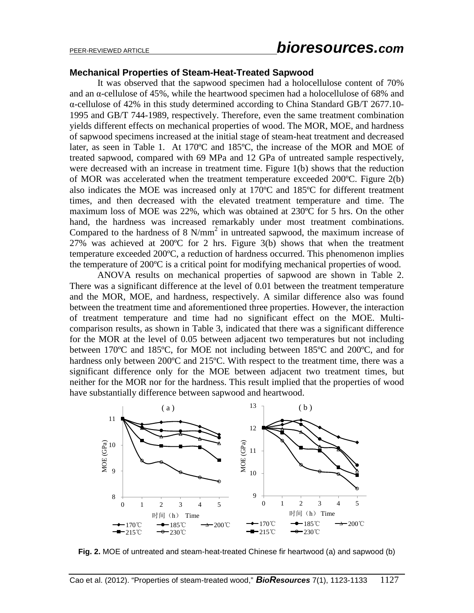# PEER-REVIEWED ARTICLE *bioresources.com*

### **Mechanical Properties of Steam-Heat-Treated Sapwood**

It was observed that the sapwood specimen had a holocellulose content of 70% and an  $\alpha$ -cellulose of 45%, while the heartwood specimen had a holocellulose of 68% and α-cellulose of 42% in this study determined according to China Standard GB/T 2677.10- 1995 and GB/T 744-1989, respectively. Therefore, even the same treatment combination yields different effects on mechanical properties of wood. The MOR, MOE, and hardness of sapwood specimens increased at the initial stage of steam-heat treatment and decreased later, as seen in Table 1. At 170ºC and 185ºC, the increase of the MOR and MOE of treated sapwood, compared with 69 MPa and 12 GPa of untreated sample respectively, were decreased with an increase in treatment time. Figure 1(b) shows that the reduction of MOR was accelerated when the treatment temperature exceeded 200ºC. Figure 2(b) also indicates the MOE was increased only at 170ºC and 185ºC for different treatment times, and then decreased with the elevated treatment temperature and time. The maximum loss of MOE was 22%, which was obtained at 230ºC for 5 hrs. On the other hand, the hardness was increased remarkably under most treatment combinations. Compared to the hardness of  $8 \text{ N/mm}^2$  in untreated sapwood, the maximum increase of 27% was achieved at 200ºC for 2 hrs. Figure 3(b) shows that when the treatment temperature exceeded 200ºC, a reduction of hardness occurred. This phenomenon implies the temperature of 200ºC is a critical point for modifying mechanical properties of wood.

ANOVA results on mechanical properties of sapwood are shown in Table 2. There was a significant difference at the level of 0.01 between the treatment temperature and the MOR, MOE, and hardness, respectively. A similar difference also was found between the treatment time and aforementioned three properties. However, the interaction of treatment temperature and time had no significant effect on the MOE. Multicomparison results, as shown in Table 3, indicated that there was a significant difference for the MOR at the level of 0.05 between adjacent two temperatures but not including between 170ºC and 185ºC, for MOE not including between 185ºC and 200ºC, and for hardness only between 200°C and 215°C. With respect to the treatment time, there was a significant difference only for the MOE between adjacent two treatment times, but neither for the MOR nor for the hardness. This result implied that the properties of wood have substantially difference between sapwood and heartwood.



**Fig. 2.** MOE of untreated and steam-heat-treated Chinese fir heartwood (a) and sapwood (b)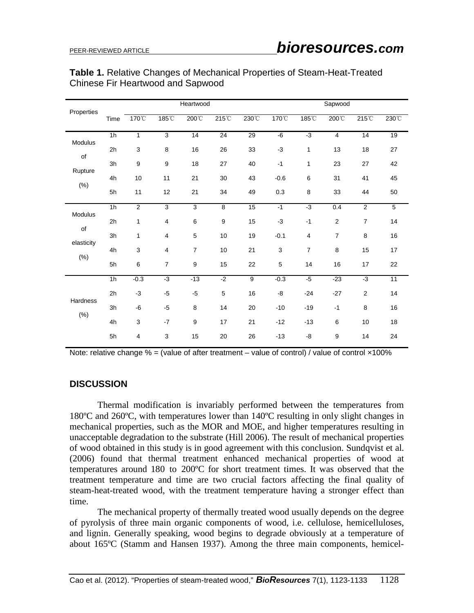| Properties                          |                | Heartwood |                |                |                  | Sapwood         |              |                |                |                |                |
|-------------------------------------|----------------|-----------|----------------|----------------|------------------|-----------------|--------------|----------------|----------------|----------------|----------------|
|                                     | Time           | 170°C     | 185°C          | 200°C          | 215°C            | 230°C           | 170°C        | 185°C          | 200°C          | 215°C          | 230°C          |
| Modulus<br>of<br>Rupture<br>(% )    | 1 <sub>h</sub> | 1         | $\mathbf{3}$   | 14             | $\overline{24}$  | $\overline{29}$ | $-6$         | $-3$           | $\overline{4}$ | 14             | 19             |
|                                     | 2 <sub>h</sub> | 3         | 8              | 16             | 26               | 33              | $-3$         | 1              | 13             | 18             | 27             |
|                                     | 3h             | 9         | 9              | 18             | 27               | 40              | $-1$         | 1              | 23             | 27             | 42             |
|                                     | 4h             | 10        | 11             | 21             | 30               | 43              | $-0.6$       | 6              | 31             | 41             | 45             |
|                                     | 5h             | 11        | 12             | 21             | 34               | 49              | 0.3          | 8              | 33             | 44             | 50             |
| Modulus<br>of<br>elasticity<br>(% ) | 1h             | 2         | 3              | 3              | 8                | 15              | $-1$         | $-3$           | 0.4            | $\overline{2}$ | $\overline{5}$ |
|                                     | 2h             | 1         | 4              | 6              | $\boldsymbol{9}$ | 15              | $-3$         | $-1$           | $\overline{2}$ | $\overline{7}$ | 14             |
|                                     | 3h             | 1         | $\overline{4}$ | 5              | 10               | 19              | $-0.1$       | $\overline{4}$ | $\overline{7}$ | 8              | 16             |
|                                     | 4h             | 3         | 4              | $\overline{7}$ | 10               | 21              | $\mathbf{3}$ | $\overline{7}$ | 8              | 15             | 17             |
|                                     | 5h             | 6         | $\overline{7}$ | 9              | 15               | 22              | 5            | 14             | 16             | 17             | 22             |
| <b>Hardness</b><br>$(\% )$          | 1h             | $-0.3$    | $-3$           | $-13$          | $-2$             | $9$             | $-0.3$       | $-5$           | $-23$          | $-3$           | 11             |
|                                     | 2h             | $-3$      | $-5$           | $-5$           | $\mathbf 5$      | 16              | -8           | $-24$          | $-27$          | $\overline{2}$ | 14             |
|                                     | 3h             | -6        | $-5$           | 8              | 14               | 20              | $-10$        | $-19$          | $-1$           | 8              | 16             |
|                                     | 4h             | 3         | $-7$           | 9              | 17               | 21              | $-12$        | $-13$          | 6              | 10             | 18             |
|                                     | 5h             | 4         | 3              | 15             | 20               | 26              | $-13$        | -8             | 9              | 14             | 24             |

## **Table 1.** Relative Changes of Mechanical Properties of Steam-Heat-Treated Chinese Fir Heartwood and Sapwood

Note: relative change  $% =$  (value of after treatment – value of control) / value of control  $\times$ 100%

## **DISCUSSION**

Thermal modification is invariably performed between the temperatures from 180ºC and 260ºC, with temperatures lower than 140ºC resulting in only slight changes in mechanical properties, such as the MOR and MOE, and higher temperatures resulting in unacceptable degradation to the substrate (Hill 2006). The result of mechanical properties of wood obtained in this study is in good agreement with this conclusion. Sundqvist et al. (2006) found that thermal treatment enhanced mechanical properties of wood at temperatures around 180 to 200ºC for short treatment times. It was observed that the treatment temperature and time are two crucial factors affecting the final quality of steam-heat-treated wood, with the treatment temperature having a stronger effect than time.

The mechanical property of thermally treated wood usually depends on the degree of pyrolysis of three main organic components of wood, i.e. cellulose, hemicelluloses, and lignin. Generally speaking, wood begins to degrade obviously at a temperature of about 165ºC (Stamm and Hansen 1937). Among the three main components, hemicel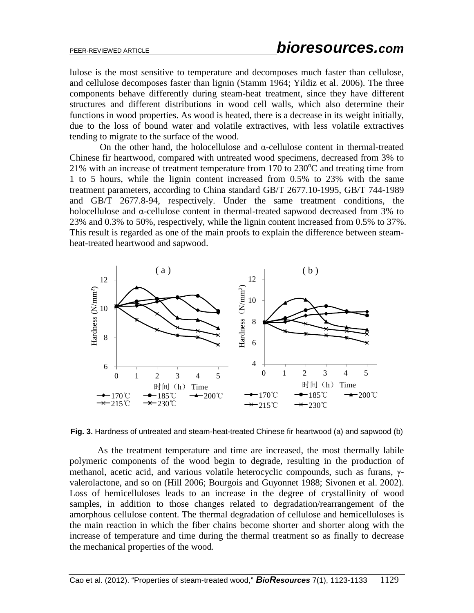lulose is the most sensitive to temperature and decomposes much faster than cellulose, and cellulose decomposes faster than lignin (Stamm 1964; Yildiz et al. 2006). The three components behave differently during steam-heat treatment, since they have different structures and different distributions in wood cell walls, which also determine their functions in wood properties. As wood is heated, there is a decrease in its weight initially, due to the loss of bound water and volatile extractives, with less volatile extractives tending to migrate to the surface of the wood.

On the other hand, the holocellulose and α-cellulose content in thermal-treated Chinese fir heartwood, compared with untreated wood specimens, decreased from 3% to 21% with an increase of treatment temperature from 170 to 230 $^{\circ}$ C and treating time from 1 to 5 hours, while the lignin content increased from 0.5% to 23% with the same treatment parameters, according to China standard GB/T 2677.10-1995, GB/T 744-1989 and GB/T 2677.8-94, respectively. Under the same treatment conditions, the holocellulose and α-cellulose content in thermal-treated sapwood decreased from 3% to 23% and 0.3% to 50%, respectively, while the lignin content increased from 0.5% to 37%. This result is regarded as one of the main proofs to explain the difference between steamheat-treated heartwood and sapwood.



**Fig. 3.** Hardness of untreated and steam-heat-treated Chinese fir heartwood (a) and sapwood (b)

As the treatment temperature and time are increased, the most thermally labile polymeric components of the wood begin to degrade, resulting in the production of methanol, acetic acid, and various volatile heterocyclic compounds, such as furans, γvalerolactone, and so on (Hill 2006; Bourgois and Guyonnet 1988; Sivonen et al. 2002). Loss of hemicelluloses leads to an increase in the degree of crystallinity of wood samples, in addition to those changes related to degradation/rearrangement of the amorphous cellulose content. The thermal degradation of cellulose and hemicelluloses is the main reaction in which the fiber chains become shorter and shorter along with the increase of temperature and time during the thermal treatment so as finally to decrease the mechanical properties of the wood.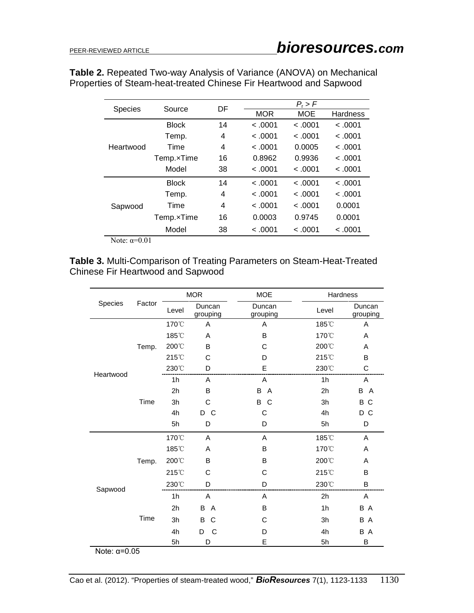|                     | Source       | DF | $P_r$ > $F$ |            |                 |  |
|---------------------|--------------|----|-------------|------------|-----------------|--|
| <b>Species</b>      |              |    | <b>MOR</b>  | <b>MOE</b> | <b>Hardness</b> |  |
|                     | <b>Block</b> | 14 | < .0001     | < .0001    | < .0001         |  |
|                     | Temp.        | 4  | < .0001     | < .0001    | < .0001         |  |
| Heartwood           | Time         | 4  | < .0001     | 0.0005     | < .0001         |  |
|                     | Temp.xTime   | 16 | 0.8962      | 0.9936     | < .0001         |  |
|                     | Model        | 38 | < .0001     | < .0001    | < .0001         |  |
|                     | <b>Block</b> | 14 | < .0001     | < .0001    | < .0001         |  |
|                     | Temp.        | 4  | < .0001     | < .0001    | < .0001         |  |
| Sapwood             | Time         | 4  | < .0001     | < .0001    | 0.0001          |  |
|                     | Temp.xTime   | 16 | 0.0003      | 0.9745     | 0.0001          |  |
|                     | Model        | 38 | < .0001     | < .0001    | < .0001         |  |
| Note: $\alpha=0.01$ |              |    |             |            |                 |  |

**Table 2.** Repeated Two-way Analysis of Variance (ANOVA) on Mechanical Properties of Steam-heat-treated Chinese Fir Heartwood and Sapwood

**Table 3.** Multi-Comparison of Treating Parameters on Steam-Heat-Treated Chinese Fir Heartwood and Sapwood

|                       |        | <b>MOR</b>     |                    | <b>MOE</b>          | Hardness        |                    |  |
|-----------------------|--------|----------------|--------------------|---------------------|-----------------|--------------------|--|
| Species               | Factor | Level          | Duncan<br>grouping | Duncan<br>grouping  | Level           | Duncan<br>grouping |  |
|                       |        | 170°C          | Α                  | Α                   | 185°C           | Α                  |  |
|                       | Temp.  | 185°C          | A                  | B                   | 170°C           | A                  |  |
|                       |        | 200°C          | B                  | C                   | 200°C           | A                  |  |
|                       |        | 215°C          | C                  | D                   | 215°C           | B                  |  |
| Heartwood             |        | 230°C          | D                  | E                   | 230°C           | С                  |  |
|                       |        | 1 <sub>h</sub> | A                  | Α                   | 1 <sub>h</sub>  | A                  |  |
|                       |        | 2h             | B                  | B<br>$\overline{A}$ | 2 <sub>h</sub>  | B<br>A             |  |
|                       | Time   | 3h             | C                  | В<br><sub>C</sub>   | 3h              | B<br>C             |  |
|                       |        | 4h             | D C                | C                   | 4h              | D C                |  |
|                       |        | 5h             | D                  | D                   | 5h              | D                  |  |
|                       |        | 170°C          | Α                  | Α                   | 185°C           | Α                  |  |
|                       |        | 185°C          | Α                  | в                   | 170°C           | Α                  |  |
|                       | Temp.  | 200°C          | B                  | В                   | 200°C           | Α                  |  |
|                       |        | 215°C          | C                  | C                   | $215^{\circ}$ C | B                  |  |
| Sapwood               |        | 230°C          | D                  | D                   | 230°C           | B                  |  |
|                       |        | 1 <sub>h</sub> | A                  | A                   | 2h              | A                  |  |
|                       |        | 2h             | A<br>B             | B                   | 1 <sub>h</sub>  | B A                |  |
|                       | Time   | 3h             | B<br>C             | C                   | 3h              | B A                |  |
|                       |        | 4h             | C<br>D             | D                   | 4h              | B A                |  |
|                       |        | 5h             | D                  | E                   | 5h              | B                  |  |
| Note: $\alpha = 0.05$ |        |                |                    |                     |                 |                    |  |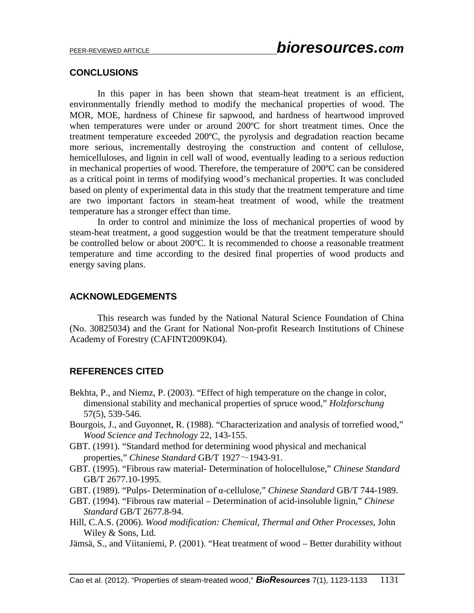### **CONCLUSIONS**

In this paper in has been shown that steam-heat treatment is an efficient, environmentally friendly method to modify the mechanical properties of wood. The MOR, MOE, hardness of Chinese fir sapwood, and hardness of heartwood improved when temperatures were under or around 200ºC for short treatment times. Once the treatment temperature exceeded 200ºC, the pyrolysis and degradation reaction became more serious, incrementally destroying the construction and content of cellulose, hemicelluloses, and lignin in cell wall of wood, eventually leading to a serious reduction in mechanical properties of wood. Therefore, the temperature of 200ºC can be considered as a critical point in terms of modifying wood's mechanical properties. It was concluded based on plenty of experimental data in this study that the treatment temperature and time are two important factors in steam-heat treatment of wood, while the treatment temperature has a stronger effect than time.

In order to control and minimize the loss of mechanical properties of wood by steam-heat treatment, a good suggestion would be that the treatment temperature should be controlled below or about 200°C. It is recommended to choose a reasonable treatment temperature and time according to the desired final properties of wood products and energy saving plans.

### **ACKNOWLEDGEMENTS**

This research was funded by the National Natural Science Foundation of China (No. 30825034) and the Grant for National Non-profit Research Institutions of Chinese Academy of Forestry (CAFINT2009K04).

## **REFERENCES CITED**

- Bekhta, P., and Niemz, P. (2003). "Effect of high temperature on the change in color, dimensional stability and mechanical properties of spruce wood," *Holzforschung* 57(5), 539-546.
- Bourgois, J., and Guyonnet, R. (1988). "Characterization and analysis of torrefied wood," *Wood Science and Technology* 22, 143-155.
- GBT. (1991). "Standard method for determining wood physical and mechanical properties," *Chinese Standard* GB/T 1927~1943-91.
- GBT. (1995). "Fibrous raw material- Determination of holocellulose," *Chinese Standard* GB/T 2677.10-1995.
- GBT. (1989). "Pulps- Determination of α-cellulose," *Chinese Standard* GB/T 744-1989.
- GBT. (1994). "Fibrous raw material Determination of acid-insoluble lignin," *Chinese Standard* GB/T 2677.8-94.
- Hill, C.A.S. (2006). *Wood modification: Chemical, Thermal and Other Processes*, John Wiley & Sons, Ltd.
- Jämsä, S., and Viitaniemi, P. (2001). "Heat treatment of wood Better durability without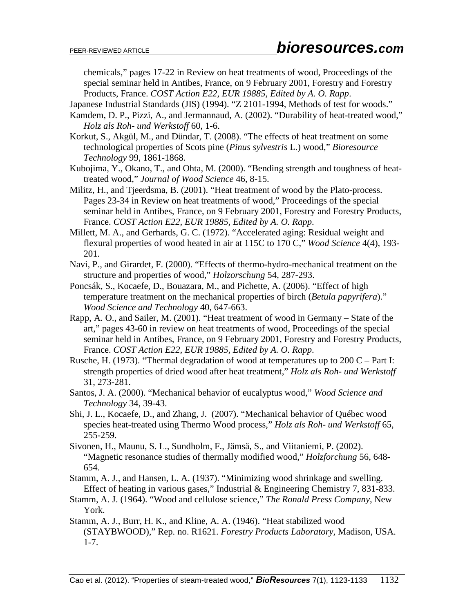chemicals," pages 17-22 in Review on heat treatments of wood, Proceedings of the special seminar held in Antibes, France, on 9 February 2001, Forestry and Forestry Products, France. *COST Action E22, EUR 19885, Edited by A. O. Rapp*.

Japanese Industrial Standards (JIS) (1994). "Z 2101-1994, Methods of test for woods."

- Kamdem, D. P., Pizzi, A., and Jermannaud, A. (2002). "Durability of heat-treated wood," *Holz als Roh- und Werkstoff* 60, 1-6.
- Korkut, S., Akgül, M., and Dündar, T. (2008). "The effects of heat treatment on some technological properties of Scots pine (*Pinus sylvestris* L.) wood," *Bioresource Technology* 99, 1861-1868.
- Kubojima, Y., Okano, T., and Ohta, M. (2000). "Bending strength and toughness of heattreated wood," *Journal of Wood Science* 46, 8-15.
- Militz, H., and Tjeerdsma, B. (2001). "Heat treatment of wood by the Plato-process. Pages 23-34 in Review on heat treatments of wood," Proceedings of the special seminar held in Antibes, France, on 9 February 2001, Forestry and Forestry Products, France. *COST Action E22, EUR 19885, Edited by A. O. Rapp*.
- Millett, M. A., and Gerhards, G. C. (1972). "Accelerated aging: Residual weight and flexural properties of wood heated in air at 115C to 170 C," *Wood Science* 4(4), 193- 201.
- Navi, P., and Girardet, F. (2000). "Effects of thermo-hydro-mechanical treatment on the structure and properties of wood," *Holzorschung* 54, 287-293.
- Poncsák, S., Kocaefe, D., Bouazara, M., and Pichette, A. (2006). "Effect of high temperature treatment on the mechanical properties of birch (*Betula papyrifera*)." *Wood Science and Technology* 40, 647-663.
- Rapp, A. O., and Sailer, M. (2001). "Heat treatment of wood in Germany State of the art," pages 43-60 in review on heat treatments of wood, Proceedings of the special seminar held in Antibes, France, on 9 February 2001, Forestry and Forestry Products, France. *COST Action E22, EUR 19885, Edited by A. O. Rapp*.
- Rusche, H. (1973). "Thermal degradation of wood at temperatures up to  $200 \text{ C} -$ Part I: strength properties of dried wood after heat treatment," *Holz als Roh- und Werkstoff*  31, 273-281.
- Santos, J. A. (2000). "Mechanical behavior of eucalyptus wood," *Wood Science and Technology* 34, 39-43.
- Shi, J. L., Kocaefe, D., and Zhang, J. (2007). "Mechanical behavior of Québec wood species heat-treated using Thermo Wood process," *Holz als Roh- und Werkstoff* 65, 255-259.
- Sivonen, H., Maunu, S. L., Sundholm, F., Jämsä, S., and Viitaniemi, P. (2002). "Magnetic resonance studies of thermally modified wood," *Holzforchung* 56, 648- 654.
- Stamm, A. J., and Hansen, L. A. (1937). "Minimizing wood shrinkage and swelling. Effect of heating in various gases," Industrial & Engineering Chemistry 7, 831-833.
- Stamm, A. J. (1964). "Wood and cellulose science," *The Ronald Press Company*, New York.
- Stamm, A. J., Burr, H. K., and Kline, A. A. (1946). "Heat stabilized wood (STAYBWOOD)," Rep. no. R1621. *Forestry Products Laboratory,* Madison, USA. 1-7.